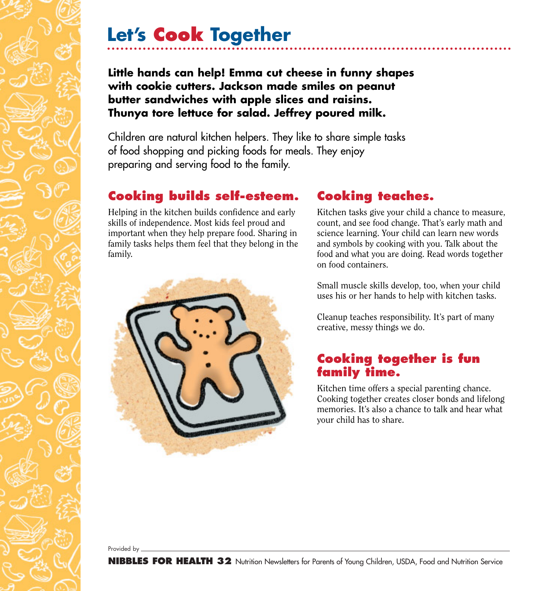## **Let's Cook Together**

**Little hands can help! Emma cut cheese in funny shapes with cookie cutters. Jackson made smiles on peanut butter sandwiches with apple slices and raisins. Thunya tore lettuce for salad. Jeffrey poured milk.**

Children are natural kitchen helpers. They like to share simple tasks of food shopping and picking foods for meals. They enjoy preparing and serving food to the family.

## **Cooking builds self-esteem.**

Helping in the kitchen builds confidence and early skills of independence. Most kids feel proud and important when they help prepare food. Sharing in family tasks helps them feel that they belong in the family.



## **Cooking teaches.**

Kitchen tasks give your child a chance to measure, count, and see food change. That's early math and science learning. Your child can learn new words and symbols by cooking with you. Talk about the food and what you are doing. Read words together on food containers.

Small muscle skills develop, too, when your child uses his or her hands to help with kitchen tasks.

Cleanup teaches responsibility. It's part of many creative, messy things we do.

## **Cooking together is fun family time.**

Kitchen time offers a special parenting chance. Cooking together creates closer bonds and lifelong memories. It's also a chance to talk and hear what your child has to share.

Provided by